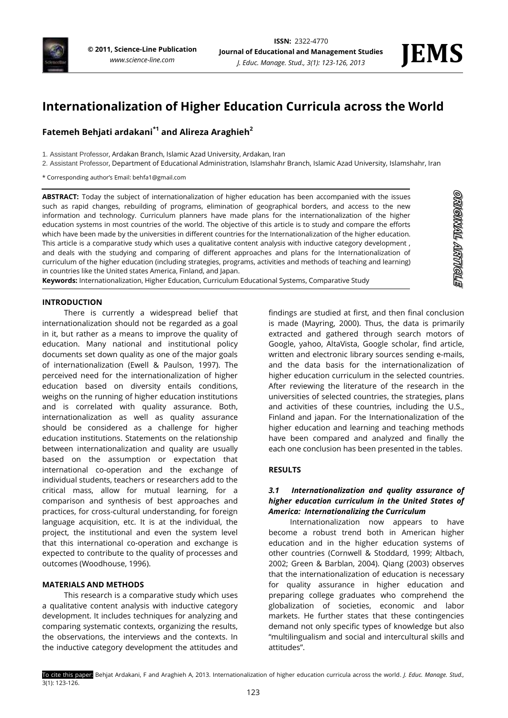

**STRONART TRANGATS** 

# **Internationalization of Higher Education Curricula across the World**

## **Fatemeh Behjati ardakani\*1 and Alireza Araghieh<sup>2</sup>**

- 1. Assistant Professor, Ardakan Branch, Islamic Azad University, Ardakan, Iran
- 2. Assistant Professor, Department of Educational Administration, Islamshahr Branch, Islamic Azad University, Islamshahr, Iran
- \* Corresponding author's Email: behfa1@gmail.com

**ABSTRACT:** Today the subject of internationalization of higher education has been accompanied with the issues such as rapid changes, rebuilding of programs, elimination of geographical borders, and access to the new information and technology. Curriculum planners have made plans for the internationalization of the higher education systems in most countries of the world. The objective of this article is to study and compare the efforts which have been made by the universities in different countries for the Internationalization of the higher education. This article is a comparative study which uses a qualitative content analysis with inductive category development , and deals with the studying and comparing of different approaches and plans for the Internationalization of curriculum of the higher education (including strategies, programs, activities and methods of teaching and learning) in countries like the United states America, Finland, and Japan.

**Keywords:** Internationalization, Higher Education, Curriculum Educational Systems, Comparative Study

#### **INTRODUCTION**

There is currently a widespread belief that internationalization should not be regarded as a goal in it, but rather as a means to improve the quality of education. Many national and institutional policy documents set down quality as one of the major goals of internationalization (Ewell & Paulson, 1997). The perceived need for the internationalization of higher education based on diversity entails conditions, weighs on the running of higher education institutions and is correlated with quality assurance. Both, internationalization as well as quality assurance should be considered as a challenge for higher education institutions. Statements on the relationship between internationalization and quality are usually based on the assumption or expectation that international co-operation and the exchange of individual students, teachers or researchers add to the critical mass, allow for mutual learning, for a comparison and synthesis of best approaches and practices, for cross-cultural understanding, for foreign language acquisition, etc. It is at the individual, the project, the institutional and even the system level that this international co-operation and exchange is expected to contribute to the quality of processes and outcomes (Woodhouse, 1996).

#### **MATERIALS AND METHODS**

This research is a comparative study which uses a qualitative content analysis with inductive category development. It includes techniques for analyzing and comparing systematic contexts, organizing the results, the observations, the interviews and the contexts. In the inductive category development the attitudes and

findings are studied at first, and then final conclusion is made (Mayring, 2000). Thus, the data is primarily extracted and gathered through search motors of Google, yahoo, AltaVista, Google scholar, find article, written and electronic library sources sending e-mails, and the data basis for the internationalization of higher education curriculum in the selected countries. After reviewing the literature of the research in the universities of selected countries, the strategies, plans and activities of these countries, including the U.S., Finland and japan. For the Internationalization of the higher education and learning and teaching methods have been compared and analyzed and finally the each one conclusion has been presented in the tables.

#### **RESULTS**

#### *3.1 Internationalization and quality assurance of higher education curriculum in the United States of America: Internationalizing the Curriculum*

Internationalization now appears to have become a robust trend both in American higher education and in the higher education systems of other countries (Cornwell & Stoddard, 1999; Altbach, 2002; Green & Barblan, 2004). Qiang (2003) observes that the internationalization of education is necessary for quality assurance in higher education and preparing college graduates who comprehend the globalization of societies, economic and labor markets. He further states that these contingencies demand not only specific types of knowledge but also "multilingualism and social and intercultural skills and attitudes".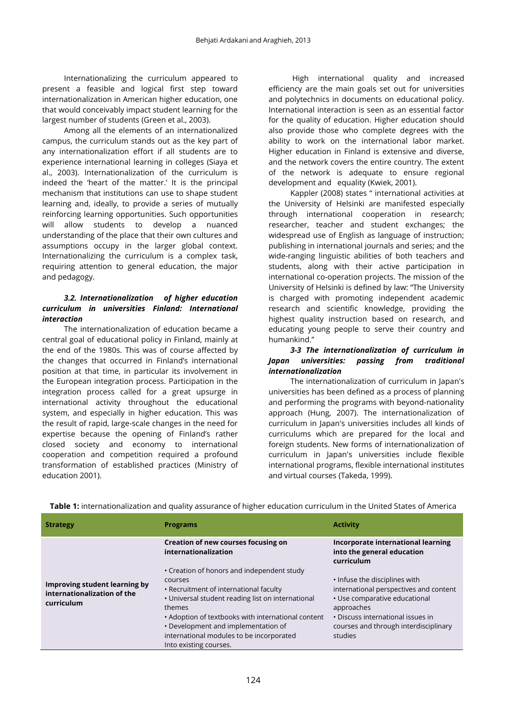Internationalizing the curriculum appeared to present a feasible and logical first step toward internationalization in American higher education, one that would conceivably impact student learning for the largest number of students (Green et al., 2003).

Among all the elements of an internationalized campus, the curriculum stands out as the key part of any internationalization effort if all students are to experience international learning in colleges (Siaya et al., 2003). Internationalization of the curriculum is indeed the 'heart of the matter.' It is the principal mechanism that institutions can use to shape student learning and, ideally, to provide a series of mutually reinforcing learning opportunities. Such opportunities will allow students to develop a nuanced understanding of the place that their own cultures and assumptions occupy in the larger global context. Internationalizing the curriculum is a complex task, requiring attention to general education, the major and pedagogy.

#### *3.2. Internationalization of higher education curriculum in universities Finland: International interaction*

The internationalization of education became a central goal of educational policy in Finland, mainly at the end of the 1980s. This was of course affected by the changes that occurred in Finland's international position at that time, in particular its involvement in the European integration process. Participation in the integration process called for a great upsurge in international activity throughout the educational system, and especially in higher education. This was the result of rapid, large-scale changes in the need for expertise because the opening of Finland's rather closed society and economy to international cooperation and competition required a profound transformation of established practices (Ministry of education 2001).

High international quality and increased efficiency are the main goals set out for universities and polytechnics in documents on educational policy. International interaction is seen as an essential factor for the quality of education. Higher education should also provide those who complete degrees with the ability to work on the international labor market. Higher education in Finland is extensive and diverse, and the network covers the entire country. The extent of the network is adequate to ensure regional development and equality (Kwiek, 2001).

Kappler (2008) states " international activities at the University of Helsinki are manifested especially through international cooperation in research; researcher, teacher and student exchanges; the widespread use of English as language of instruction; publishing in international journals and series; and the wide-ranging linguistic abilities of both teachers and students, along with their active participation in international co-operation projects. The mission of the University of Helsinki is defined by law: "The University is charged with promoting independent academic research and scientific knowledge, providing the highest quality instruction based on research, and educating young people to serve their country and humankind."

### *3-3 The internationalization of curriculum in Japan universities: passing from traditional internationalization*

The internationalization of curriculum in Japan's universities has been defined as a process of planning and performing the programs with beyond-nationality approach (Hung, 2007). The internationalization of curriculum in Japan's universities includes all kinds of curriculums which are prepared for the local and foreign students. New forms of internationalization of curriculum in Japan's universities include flexible international programs, flexible international institutes and virtual courses (Takeda, 1999).

| <b>Strategy</b>                                                            | <b>Programs</b>                                                                                                                                                                                                                                                                                                                   | <b>Activity</b>                                                                                                                                                                                                 |
|----------------------------------------------------------------------------|-----------------------------------------------------------------------------------------------------------------------------------------------------------------------------------------------------------------------------------------------------------------------------------------------------------------------------------|-----------------------------------------------------------------------------------------------------------------------------------------------------------------------------------------------------------------|
|                                                                            | Creation of new courses focusing on<br>internationalization                                                                                                                                                                                                                                                                       | Incorporate international learning<br>into the general education<br>curriculum                                                                                                                                  |
| Improving student learning by<br>internationalization of the<br>curriculum | • Creation of honors and independent study<br>courses<br>• Recruitment of international faculty<br>• Universal student reading list on international<br>themes<br>• Adoption of textbooks with international content<br>• Development and implementation of<br>international modules to be incorporated<br>Into existing courses. | . Infuse the disciplines with<br>international perspectives and content<br>• Use comparative educational<br>approaches<br>• Discuss international issues in<br>courses and through interdisciplinary<br>studies |

**Table 1:** internationalization and quality assurance of higher education curriculum in the United States of America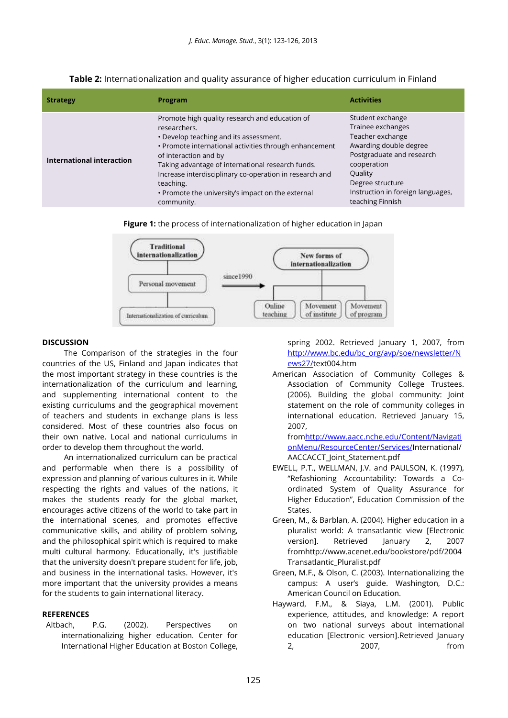| <b>Strategy</b>           | Program                                                                                                                                                                                                                                                                                                                                                                                     | <b>Activities</b>                                                                                                                                                                                                       |
|---------------------------|---------------------------------------------------------------------------------------------------------------------------------------------------------------------------------------------------------------------------------------------------------------------------------------------------------------------------------------------------------------------------------------------|-------------------------------------------------------------------------------------------------------------------------------------------------------------------------------------------------------------------------|
| International interaction | Promote high quality research and education of<br>researchers.<br>• Develop teaching and its assessment.<br>• Promote international activities through enhancement<br>of interaction and by<br>Taking advantage of international research funds.<br>Increase interdisciplinary co-operation in research and<br>teaching.<br>• Promote the university's impact on the external<br>community. | Student exchange<br>Trainee exchanges<br>Teacher exchange<br>Awarding double degree<br>Postgraduate and research<br>cooperation<br>Quality<br>Degree structure<br>Instruction in foreign languages,<br>teaching Finnish |

**Table 2:** Internationalization and quality assurance of higher education curriculum in Finland





#### **DISCUSSION**

The Comparison of the strategies in the four countries of the US, Finland and Japan indicates that the most important strategy in these countries is the internationalization of the curriculum and learning, and supplementing international content to the existing curriculums and the geographical movement of teachers and students in exchange plans is less considered. Most of these countries also focus on their own native. Local and national curriculums in order to develop them throughout the world.

An internationalized curriculum can be practical and performable when there is a possibility of expression and planning of various cultures in it. While respecting the rights and values of the nations, it makes the students ready for the global market, encourages active citizens of the world to take part in the international scenes, and promotes effective communicative skills, and ability of problem solving, and the philosophical spirit which is required to make multi cultural harmony. Educationally, it's justifiable that the university doesn't prepare student for life, job, and business in the international tasks. However, it's more important that the university provides a means for the students to gain international literacy.

#### **REFERENCES**

Altbach, P.G. (2002). Perspectives on internationalizing higher education. Center for International Higher Education at Boston College, spring 2002. Retrieved January 1, 2007, from [http://www.bc.edu/bc\\_org/avp/soe/newsletter/N](http://www.bc.edu/bc_org/avp/soe/newsletter/News27/) [ews27/t](http://www.bc.edu/bc_org/avp/soe/newsletter/News27/)ext004.htm

American Association of Community Colleges & Association of Community College Trustees. (2006). Building the global community: Joint statement on the role of community colleges in international education. Retrieved January 15, 2007,

fro[mhttp://www.aacc.nche.edu/Content/Navigati](http://www.aacc.nche.edu/Content/NavigationMenu/ResourceCenter/Services/) [onMenu/ResourceCenter/Services/I](http://www.aacc.nche.edu/Content/NavigationMenu/ResourceCenter/Services/)nternational/ AACCACCT\_Joint\_Statement.pdf

- EWELL, P.T., WELLMAN, J.V. and PAULSON, K. (1997), "Refashioning Accountability: Towards a Coordinated System of Quality Assurance for Higher Education", Education Commission of the States.
- Green, M., & Barblan, A. (2004). Higher education in a pluralist world: A transatlantic view [Electronic version]. Retrieved January 2, 2007 fromhttp://www.acenet.edu/bookstore/pdf/2004 Transatlantic\_Pluralist.pdf
- Green, M.F., & Olson, C. (2003). Internationalizing the campus: A user's guide. Washington, D.C.: American Council on Education.
- Hayward, F.M., & Siaya, L.M. (2001). Public experience, attitudes, and knowledge: A report on two national surveys about international education [Electronic version].Retrieved January 2, 2007, from